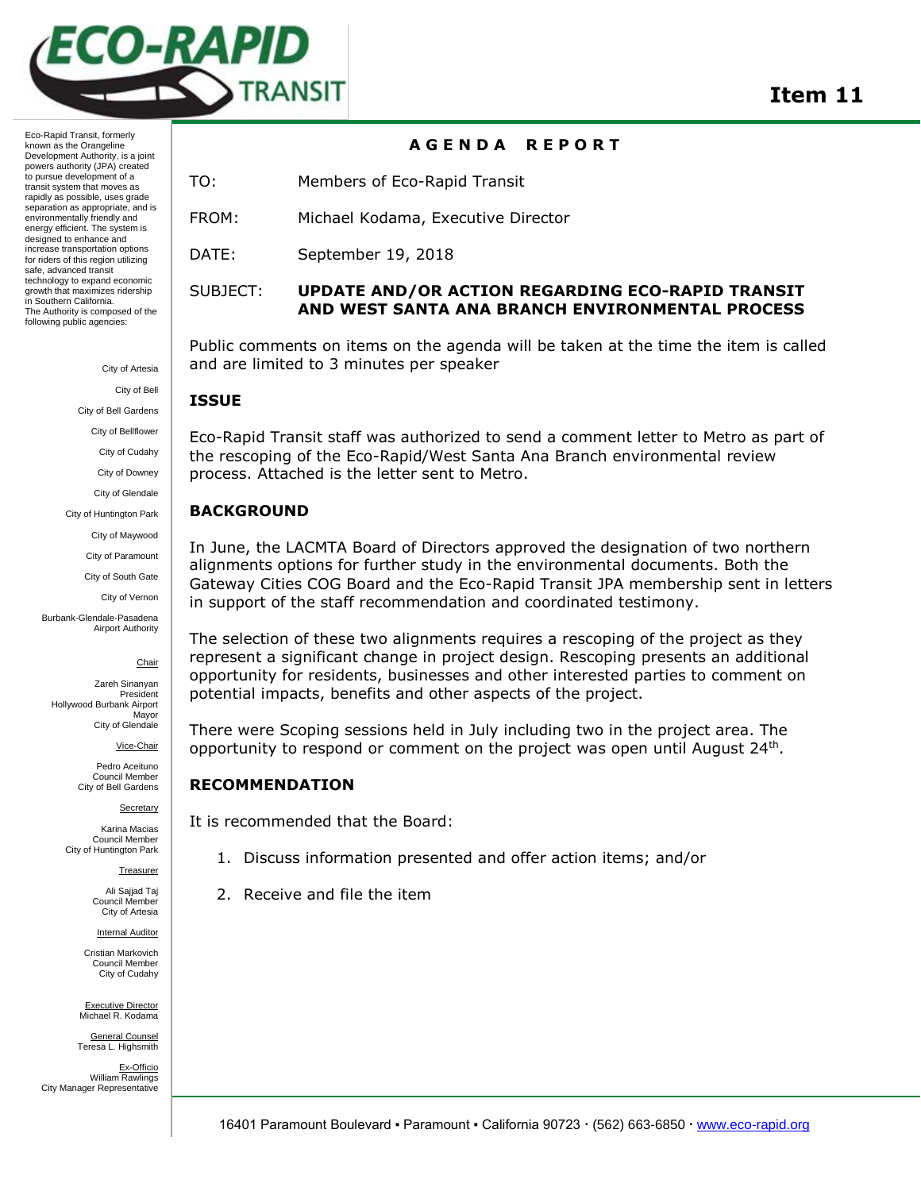

**A G E N D A R E P O R T**

Eco-Rapid Transit, formerly known as the Orangeline Development Authority, is a joint powers authority (JPA) created to pursue development of a transit system that moves as rapidly as possible, uses grade separation as appropriate, and is environmentally friendly and energy efficient. The system is designed to enhance and increase transportation options for riders of this region utilizing safe, advanced transit technology to expand economic growth that maximizes ridership in Southern California. The Authority is composed of the following public agencies:

> City of Artesia City of Bell

City of Bell Gardens

City of Bellflower

City of Cudahy

City of Downey

City of Glendale

City of Huntington Park

City of Maywood

City of Paramount

City of South Gate

City of Vernon

Burbank-Glendale-Pasadena Airport Authority

Chair

Zareh Sinanyan President Hollywood Burbank Airport Mayor City of Glendale

Vice-Chair

Pedro Aceituno Council Member City of Bell Gardens

**Secretary** 

Karina Macias Council Member City of Huntington Park

Treasurer

Ali Sajjad Taj Council Member City of Artesia

Internal Auditor

Cristian Markovich Council Member City of Cudahy

Executive Director Michael R. Kodama General Counsel

Teresa L. Highsmith Ex-Officio William Rawlings City Manager Representative TO: Members of Eco-Rapid Transit

FROM: Michael Kodama, Executive Director

DATE: September 19, 2018

# SUBJECT: **UPDATE AND/OR ACTION REGARDING ECO-RAPID TRANSIT AND WEST SANTA ANA BRANCH ENVIRONMENTAL PROCESS**

Public comments on items on the agenda will be taken at the time the item is called and are limited to 3 minutes per speaker

# **ISSUE**

Eco-Rapid Transit staff was authorized to send a comment letter to Metro as part of the rescoping of the Eco-Rapid/West Santa Ana Branch environmental review process. Attached is the letter sent to Metro.

# **BACKGROUND**

In June, the LACMTA Board of Directors approved the designation of two northern alignments options for further study in the environmental documents. Both the Gateway Cities COG Board and the Eco-Rapid Transit JPA membership sent in letters in support of the staff recommendation and coordinated testimony.

The selection of these two alignments requires a rescoping of the project as they represent a significant change in project design. Rescoping presents an additional opportunity for residents, businesses and other interested parties to comment on potential impacts, benefits and other aspects of the project.

There were Scoping sessions held in July including two in the project area. The opportunity to respond or comment on the project was open until August 24<sup>th</sup>.

# **RECOMMENDATION**

It is recommended that the Board:

- 1. Discuss information presented and offer action items; and/or
- 2. Receive and file the item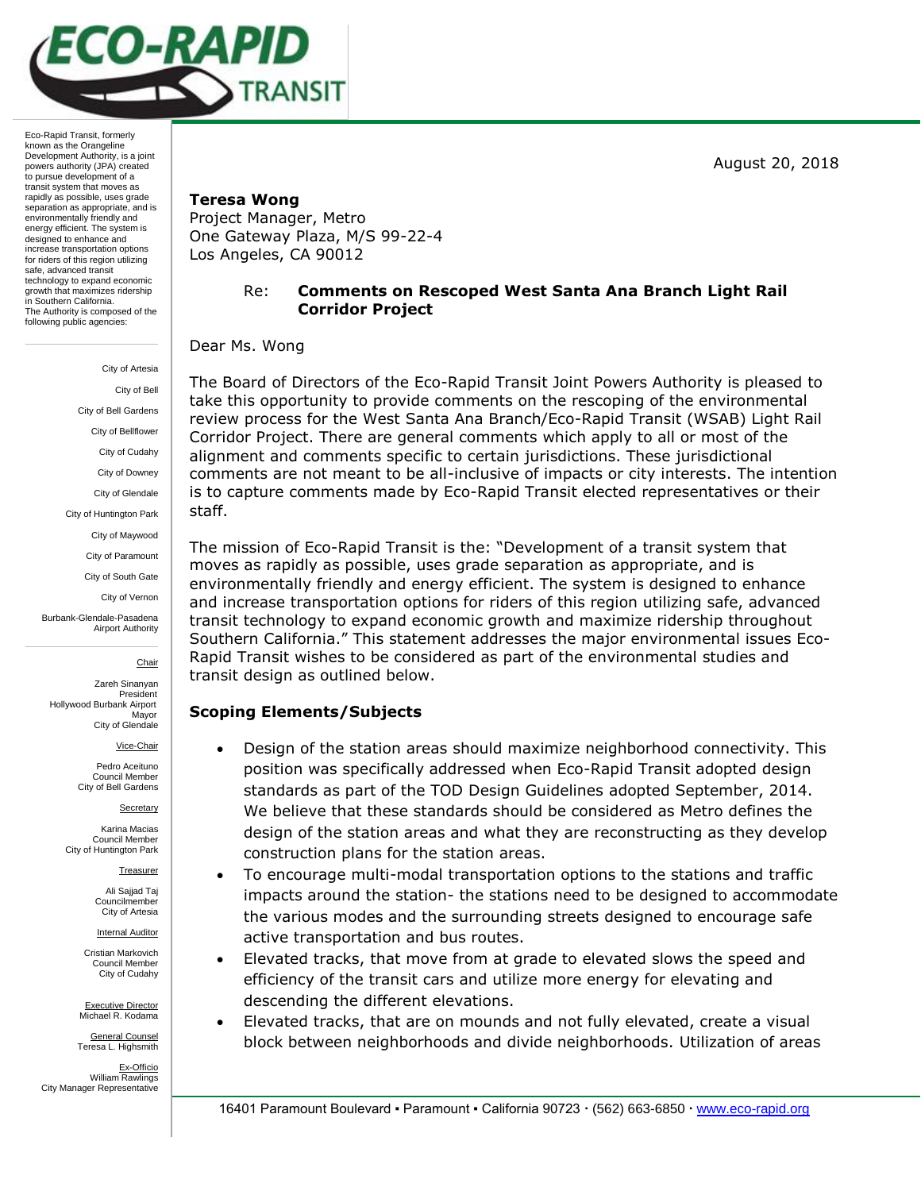August 20, 2018



Eco-Rapid Transit, formerly known as the Orangeline Development Authority, is a joint powers authority (JPA) created to pursue development of a transit system that moves as rapidly as possible, uses grade separation as appropriate, and is environmentally friendly and energy efficient. The system is designed to enhance and increase transportation options for riders of this region utilizing safe, advanced transit technology to expand economic growth that maximizes ridership in Southern California. The Authority is composed of the following public agencies:

> City of Artesia City of Bell City of Bell Gardens City of Bellflower City of Cudahy City of Downey City of Glendale City of Huntington Park City of Maywood City of Paramount City of South Gate City of Vernon Burbank-Glendale-Pasadena Airport Authority

> > Chair

Zareh Sinanyan President Hollywood Burbank Airport Mayor City of Glendale

Vice-Chair

Pedro Aceituno Council Member City of Bell Gardens

**Secretary** 

Karina Macias Council Member City of Huntington Park

Treasurer

Ali Sajjad Taj Councilmember City of Artesia

Internal Auditor

Cristian Markovich Council Member City of Cudahy

Executive Director Michael R. Kodama

General Counsel Teresa L. Highsmith Ex-Officio William Rawlings City Manager Representative

## **Teresa Wong**

Project Manager, Metro One Gateway Plaza, M/S 99-22-4 Los Angeles, CA 90012

# Re: **Comments on Rescoped West Santa Ana Branch Light Rail Corridor Project**

Dear Ms. Wong

The Board of Directors of the Eco-Rapid Transit Joint Powers Authority is pleased to take this opportunity to provide comments on the rescoping of the environmental review process for the West Santa Ana Branch/Eco-Rapid Transit (WSAB) Light Rail Corridor Project. There are general comments which apply to all or most of the alignment and comments specific to certain jurisdictions. These jurisdictional comments are not meant to be all-inclusive of impacts or city interests. The intention is to capture comments made by Eco-Rapid Transit elected representatives or their staff.

The mission of Eco-Rapid Transit is the: "Development of a transit system that moves as rapidly as possible, uses grade separation as appropriate, and is environmentally friendly and energy efficient. The system is designed to enhance and increase transportation options for riders of this region utilizing safe, advanced transit technology to expand economic growth and maximize ridership throughout Southern California." This statement addresses the major environmental issues Eco-Rapid Transit wishes to be considered as part of the environmental studies and transit design as outlined below.

# **Scoping Elements/Subjects**

- Design of the station areas should maximize neighborhood connectivity. This position was specifically addressed when Eco-Rapid Transit adopted design standards as part of the TOD Design Guidelines adopted September, 2014. We believe that these standards should be considered as Metro defines the design of the station areas and what they are reconstructing as they develop construction plans for the station areas.
- To encourage multi-modal transportation options to the stations and traffic impacts around the station- the stations need to be designed to accommodate the various modes and the surrounding streets designed to encourage safe active transportation and bus routes.
- Elevated tracks, that move from at grade to elevated slows the speed and efficiency of the transit cars and utilize more energy for elevating and descending the different elevations.
- Elevated tracks, that are on mounds and not fully elevated, create a visual block between neighborhoods and divide neighborhoods. Utilization of areas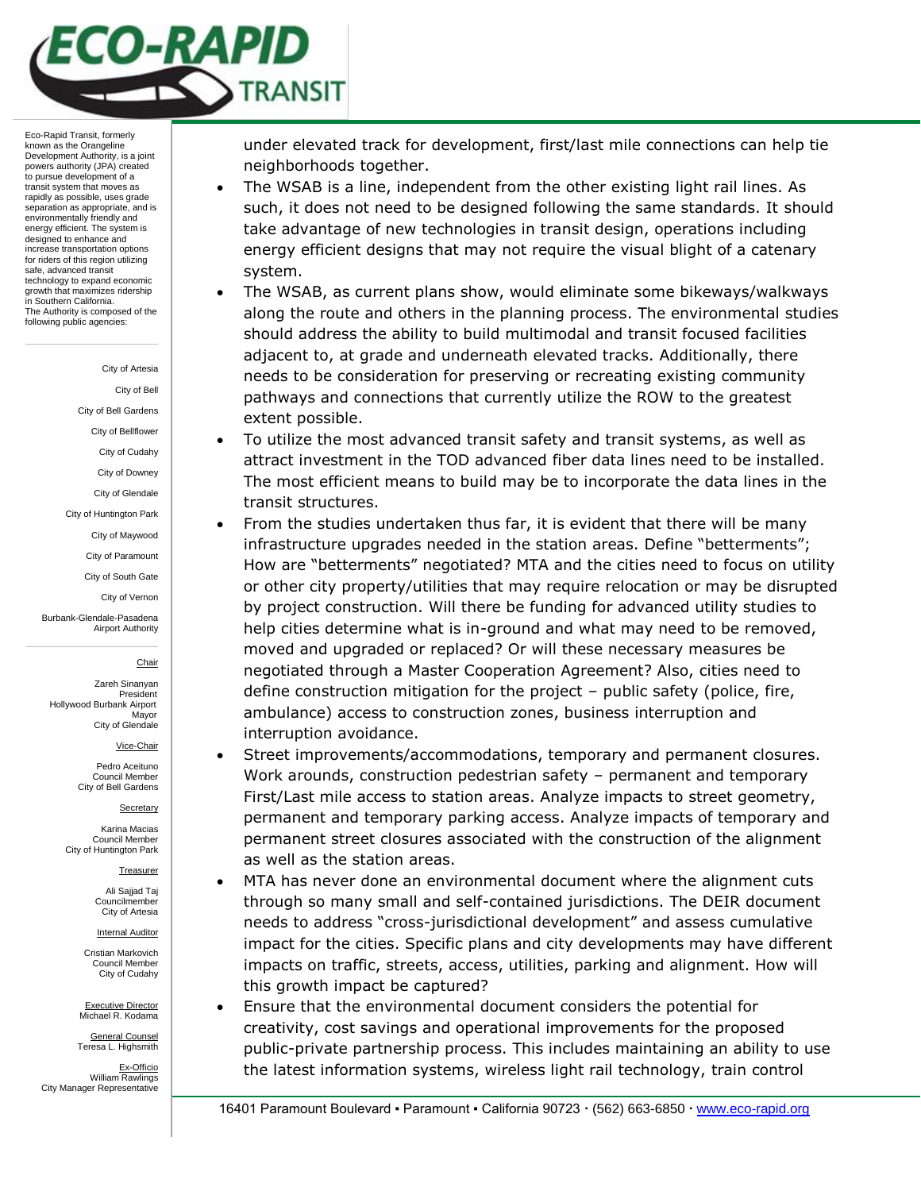

#### City of Artesia

City of Bell

City of Bell Gardens

City of Bellflower

City of Cudahy

City of Downey

City of Glendale

City of Huntington Park

City of Maywood

City of Paramount

City of South Gate

City of Vernon

Burbank-Glendale-Pasadena Airport Authority

#### Chair

Zareh Sinanyan President Hollywood Burbank Airport Mayor City of Glendale

Vice-Chair

Pedro Aceituno Council Member City of Bell Gardens

#### **Secretary**

Karina Macias Council Member City of Huntington Park

Treasurer

Ali Sajjad Taj Councilmember City of Artesia

Internal Auditor

Cristian Markovich Council Member City of Cudahy

Executive Director Michael R. Kodama

General Counsel Teresa L. Highsmith

Ex-Officio William Rawlings City Manager Representative under elevated track for development, first/last mile connections can help tie neighborhoods together.

- The WSAB is a line, independent from the other existing light rail lines. As such, it does not need to be designed following the same standards. It should take advantage of new technologies in transit design, operations including energy efficient designs that may not require the visual blight of a catenary system.
- The WSAB, as current plans show, would eliminate some bikeways/walkways along the route and others in the planning process. The environmental studies should address the ability to build multimodal and transit focused facilities adjacent to, at grade and underneath elevated tracks. Additionally, there needs to be consideration for preserving or recreating existing community pathways and connections that currently utilize the ROW to the greatest extent possible.
- To utilize the most advanced transit safety and transit systems, as well as attract investment in the TOD advanced fiber data lines need to be installed. The most efficient means to build may be to incorporate the data lines in the transit structures.
- From the studies undertaken thus far, it is evident that there will be many infrastructure upgrades needed in the station areas. Define "betterments"; How are "betterments" negotiated? MTA and the cities need to focus on utility or other city property/utilities that may require relocation or may be disrupted by project construction. Will there be funding for advanced utility studies to help cities determine what is in-ground and what may need to be removed, moved and upgraded or replaced? Or will these necessary measures be negotiated through a Master Cooperation Agreement? Also, cities need to define construction mitigation for the project – public safety (police, fire, ambulance) access to construction zones, business interruption and interruption avoidance.
- Street improvements/accommodations, temporary and permanent closures. Work arounds, construction pedestrian safety – permanent and temporary First/Last mile access to station areas. Analyze impacts to street geometry, permanent and temporary parking access. Analyze impacts of temporary and permanent street closures associated with the construction of the alignment as well as the station areas.
- MTA has never done an environmental document where the alignment cuts through so many small and self-contained jurisdictions. The DEIR document needs to address "cross-jurisdictional development" and assess cumulative impact for the cities. Specific plans and city developments may have different impacts on traffic, streets, access, utilities, parking and alignment. How will this growth impact be captured?
- Ensure that the environmental document considers the potential for creativity, cost savings and operational improvements for the proposed public-private partnership process. This includes maintaining an ability to use the latest information systems, wireless light rail technology, train control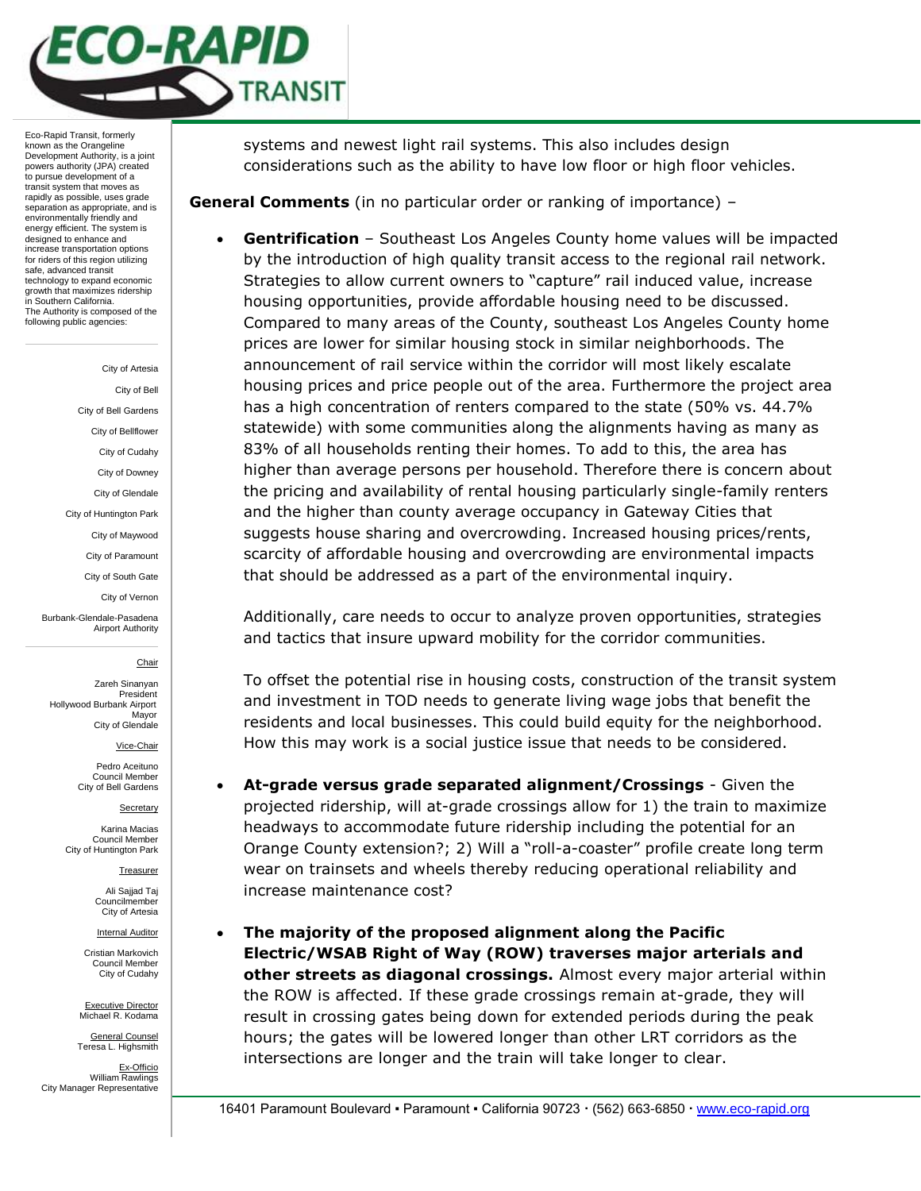

City of Artesia

City of Bell

City of Bell Gardens

City of Bellflower

City of Cudahy

City of Downey City of Glendale

City of Huntington Park

City of Maywood

City of Paramount

City of South Gate

City of Vernon

Burbank-Glendale-Pasadena Airport Authority

#### Chair

Zareh Sinanyan President Hollywood Burbank Airport Mayor City of Glendale

Vice-Chair

Pedro Aceituno Council Membe City of Bell Gardens

**Secretary** 

Karina Macias Council Member City of Huntington Park

Treasurer

Ali Sajjad Taj Councilmember City of Artesia

Internal Auditor

Cristian Markovich Council Member City of Cudahy

Executive Director Michael R. Kodama

General Counsel Teresa L. Highsmith

Ex-Officio William Rawlings City Manager Representative systems and newest light rail systems. This also includes design considerations such as the ability to have low floor or high floor vehicles.

**General Comments** (in no particular order or ranking of importance) –

 **Gentrification** – Southeast Los Angeles County home values will be impacted by the introduction of high quality transit access to the regional rail network. Strategies to allow current owners to "capture" rail induced value, increase housing opportunities, provide affordable housing need to be discussed. Compared to many areas of the County, southeast Los Angeles County home prices are lower for similar housing stock in similar neighborhoods. The announcement of rail service within the corridor will most likely escalate housing prices and price people out of the area. Furthermore the project area has a high concentration of renters compared to the state (50% vs. 44.7% statewide) with some communities along the alignments having as many as 83% of all households renting their homes. To add to this, the area has higher than average persons per household. Therefore there is concern about the pricing and availability of rental housing particularly single-family renters and the higher than county average occupancy in Gateway Cities that suggests house sharing and overcrowding. Increased housing prices/rents, scarcity of affordable housing and overcrowding are environmental impacts that should be addressed as a part of the environmental inquiry.

Additionally, care needs to occur to analyze proven opportunities, strategies and tactics that insure upward mobility for the corridor communities.

To offset the potential rise in housing costs, construction of the transit system and investment in TOD needs to generate living wage jobs that benefit the residents and local businesses. This could build equity for the neighborhood. How this may work is a social justice issue that needs to be considered.

- **At-grade versus grade separated alignment/Crossings** Given the projected ridership, will at-grade crossings allow for 1) the train to maximize headways to accommodate future ridership including the potential for an Orange County extension?; 2) Will a "roll-a-coaster" profile create long term wear on trainsets and wheels thereby reducing operational reliability and increase maintenance cost?
- **The majority of the proposed alignment along the Pacific Electric/WSAB Right of Way (ROW) traverses major arterials and other streets as diagonal crossings.** Almost every major arterial within the ROW is affected. If these grade crossings remain at-grade, they will result in crossing gates being down for extended periods during the peak hours; the gates will be lowered longer than other LRT corridors as the intersections are longer and the train will take longer to clear.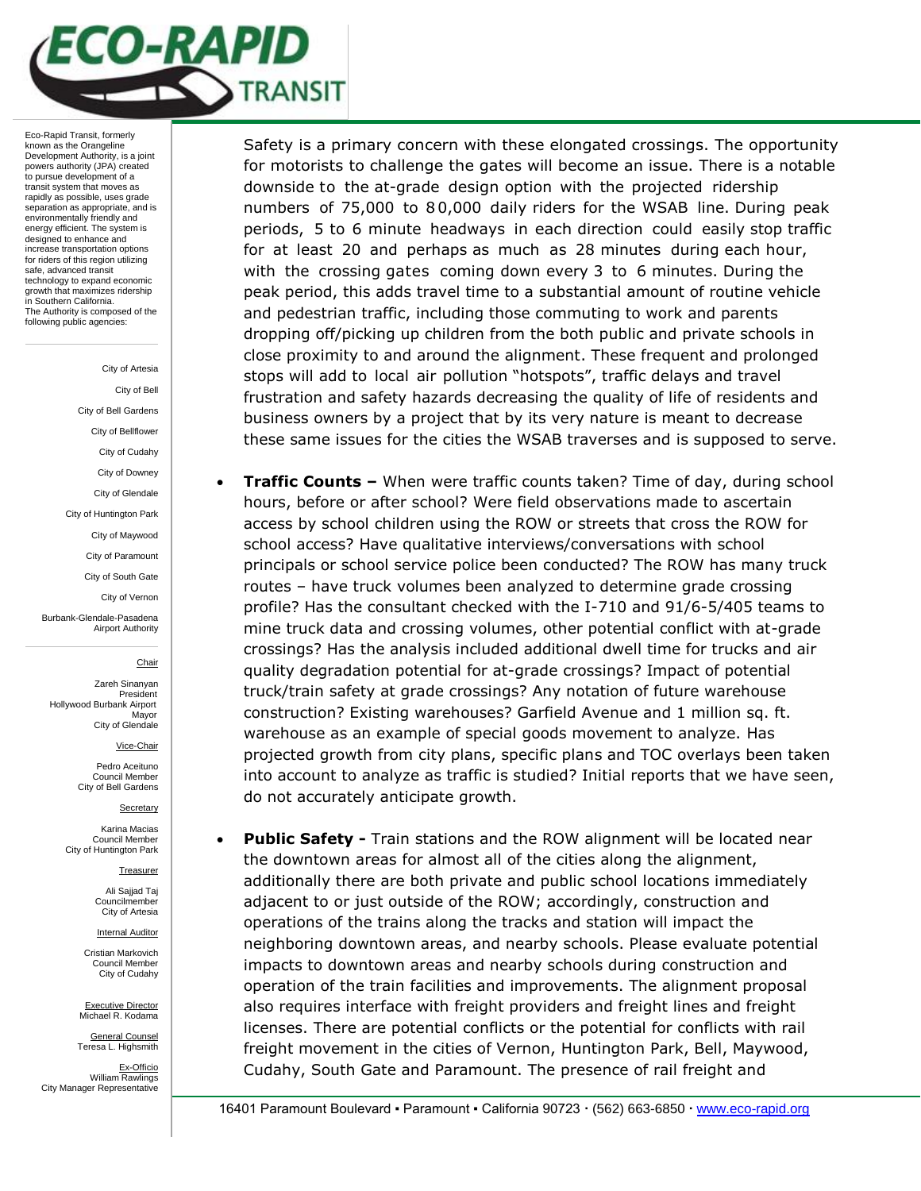

# City of Artesia

City of Bell City of Bell Gardens City of Bellflower

City of Cudahy

City of Downey

City of Glendale

City of Huntington Park

City of Maywood

City of Paramount

City of South Gate

City of Vernon

Burbank-Glendale-Pasadena Airport Authority

### Chair

Zareh Sinanyan President Hollywood Burbank Airport Mayor City of Glendale

Vice-Chair

Pedro Aceituno Council Membe City of Bell Gardens

#### **Secretary**

Karina Macias Council Member City of Huntington Park

Treasurer

Ali Sajjad Taj Councilmember City of Artesia

Internal Auditor

Cristian Markovich Council Member City of Cudahy

Executive Director Michael R. Kodama

General Counsel Teresa L. Highsmith

Ex-Officio William Rawlings City Manager Representative Safety is a primary concern with these elongated crossings. The opportunity for motorists to challenge the gates will become an issue. There is a notable downside to the at-grade design option with the projected ridership numbers of 75,000 to 8 0,000 daily riders for the WSAB line. During peak periods, 5 to 6 minute headways in each direction could easily stop traffic for at least 20 and perhaps as much as 28 minutes during each hour, with the crossing gates coming down every 3 to 6 minutes. During the peak period, this adds travel time to a substantial amount of routine vehicle and pedestrian traffic, including those commuting to work and parents dropping off/picking up children from the both public and private schools in close proximity to and around the alignment. These frequent and prolonged stops will add to local air pollution "hotspots", traffic delays and travel frustration and safety hazards decreasing the quality of life of residents and business owners by a project that by its very nature is meant to decrease these same issues for the cities the WSAB traverses and is supposed to serve.

- **Traffic Counts –** When were traffic counts taken? Time of day, during school hours, before or after school? Were field observations made to ascertain access by school children using the ROW or streets that cross the ROW for school access? Have qualitative interviews/conversations with school principals or school service police been conducted? The ROW has many truck routes – have truck volumes been analyzed to determine grade crossing profile? Has the consultant checked with the I-710 and 91/6-5/405 teams to mine truck data and crossing volumes, other potential conflict with at-grade crossings? Has the analysis included additional dwell time for trucks and air quality degradation potential for at-grade crossings? Impact of potential truck/train safety at grade crossings? Any notation of future warehouse construction? Existing warehouses? Garfield Avenue and 1 million sq. ft. warehouse as an example of special goods movement to analyze. Has projected growth from city plans, specific plans and TOC overlays been taken into account to analyze as traffic is studied? Initial reports that we have seen, do not accurately anticipate growth.
- **Public Safety -** Train stations and the ROW alignment will be located near the downtown areas for almost all of the cities along the alignment, additionally there are both private and public school locations immediately adjacent to or just outside of the ROW; accordingly, construction and operations of the trains along the tracks and station will impact the neighboring downtown areas, and nearby schools. Please evaluate potential impacts to downtown areas and nearby schools during construction and operation of the train facilities and improvements. The alignment proposal also requires interface with freight providers and freight lines and freight licenses. There are potential conflicts or the potential for conflicts with rail freight movement in the cities of Vernon, Huntington Park, Bell, Maywood, Cudahy, South Gate and Paramount. The presence of rail freight and

16401 Paramount Boulevard · Paramount · California 90723 · (562) 663-6850 · www.eco-rapid.org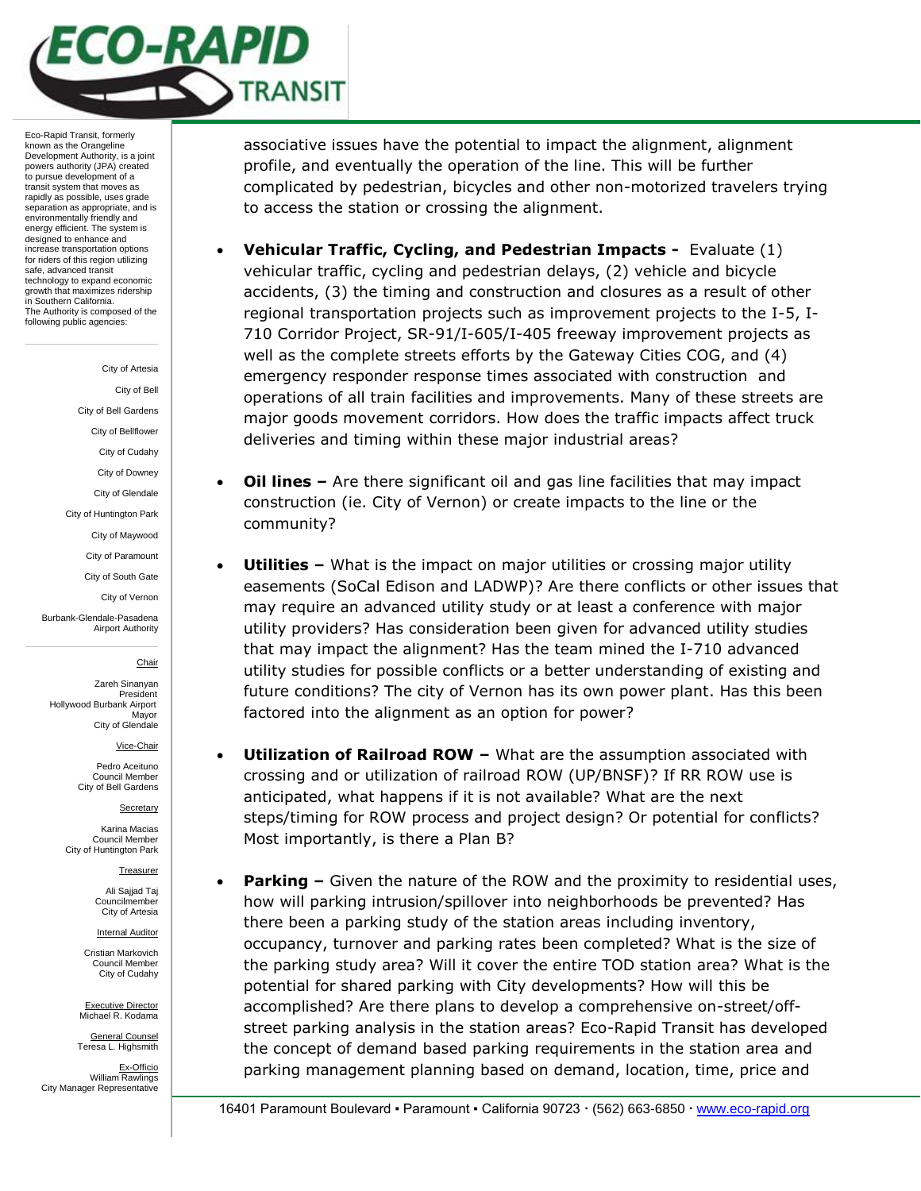

#### City of Artesia

City of Bell

City of Bell Gardens

City of Bellflower City of Cudahy

City of Downey

City of Glendale

City of Huntington Park

City of Maywood

City of Paramount

City of South Gate

City of Vernon

Burbank-Glendale-Pasadena Airport Authority

### Chair

Zareh Sinanyan President Hollywood Burbank Airport Mayor City of Glendale

Vice-Chair

Pedro Aceituno Council Membe City of Bell Gardens

**Secretary** 

Karina Macias Council Member City of Huntington Park

Treasurer

Ali Sajjad Taj Councilmember City of Artesia

Internal Auditor

Cristian Markovich Council Member City of Cudahy

Executive Director Michael R. Kodama

General Counsel Teresa L. Highsmith

Ex-Officio William Rawlings City Manager Representative associative issues have the potential to impact the alignment, alignment profile, and eventually the operation of the line. This will be further complicated by pedestrian, bicycles and other non-motorized travelers trying to access the station or crossing the alignment.

- **Vehicular Traffic, Cycling, and Pedestrian Impacts -** Evaluate (1) vehicular traffic, cycling and pedestrian delays, (2) vehicle and bicycle accidents, (3) the timing and construction and closures as a result of other regional transportation projects such as improvement projects to the I-5, I-710 Corridor Project, SR-91/I-605/I-405 freeway improvement projects as well as the complete streets efforts by the Gateway Cities COG, and (4) emergency responder response times associated with construction and operations of all train facilities and improvements. Many of these streets are major goods movement corridors. How does the traffic impacts affect truck deliveries and timing within these major industrial areas?
- **Oil lines –** Are there significant oil and gas line facilities that may impact construction (ie. City of Vernon) or create impacts to the line or the community?
- **Utilities –** What is the impact on major utilities or crossing major utility easements (SoCal Edison and LADWP)? Are there conflicts or other issues that may require an advanced utility study or at least a conference with major utility providers? Has consideration been given for advanced utility studies that may impact the alignment? Has the team mined the I-710 advanced utility studies for possible conflicts or a better understanding of existing and future conditions? The city of Vernon has its own power plant. Has this been factored into the alignment as an option for power?
- **Utilization of Railroad ROW –** What are the assumption associated with crossing and or utilization of railroad ROW (UP/BNSF)? If RR ROW use is anticipated, what happens if it is not available? What are the next steps/timing for ROW process and project design? Or potential for conflicts? Most importantly, is there a Plan B?
- **Parking –** Given the nature of the ROW and the proximity to residential uses, how will parking intrusion/spillover into neighborhoods be prevented? Has there been a parking study of the station areas including inventory, occupancy, turnover and parking rates been completed? What is the size of the parking study area? Will it cover the entire TOD station area? What is the potential for shared parking with City developments? How will this be accomplished? Are there plans to develop a comprehensive on-street/offstreet parking analysis in the station areas? Eco-Rapid Transit has developed the concept of demand based parking requirements in the station area and parking management planning based on demand, location, time, price and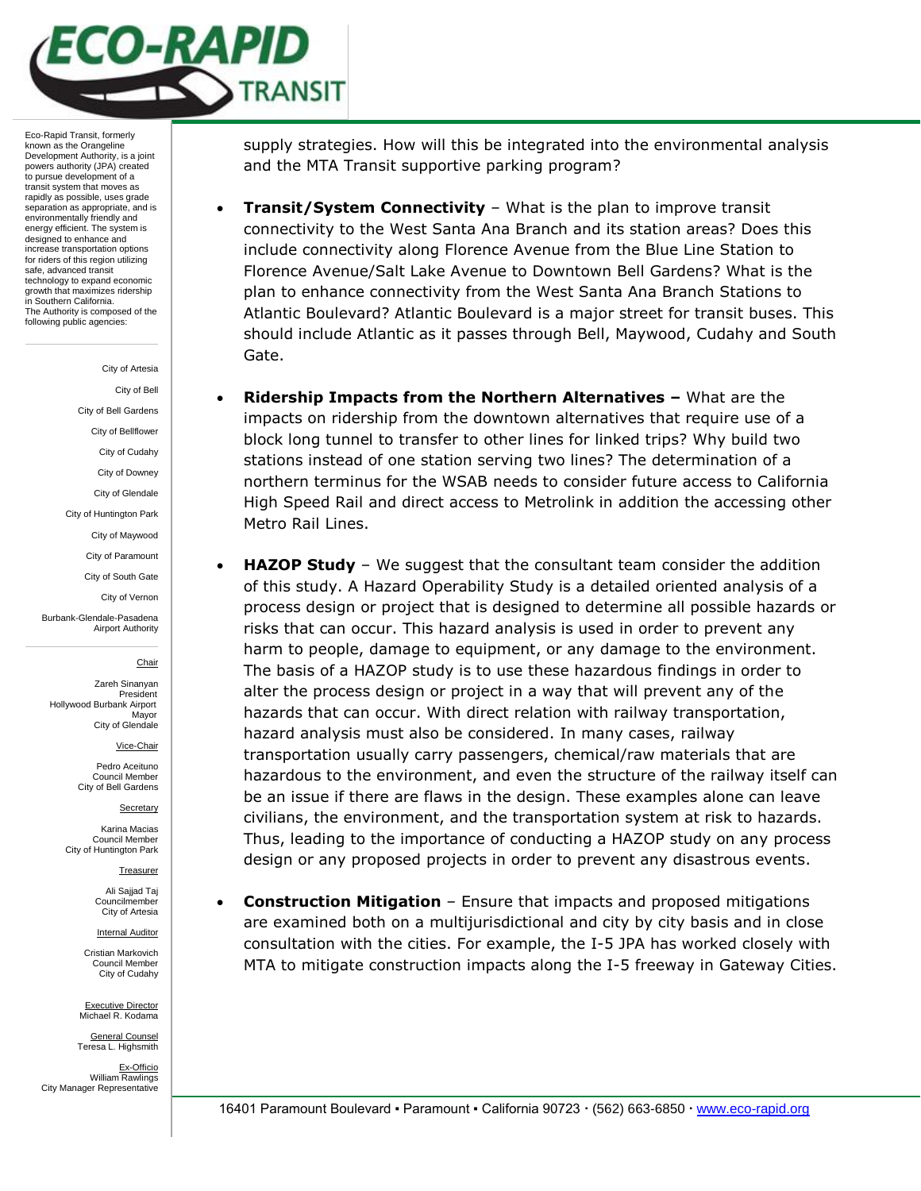

#### City of Artesia

City of Bell

City of Bell Gardens

City of Bellflower

City of Cudahy

City of Downey

City of Glendale

City of Huntington Park City of Maywood

City of Paramount

City of South Gate

City of Vernon

Burbank-Glendale-Pasadena Airport Authority

#### Chair

Zareh Sinanyan President Hollywood Burbank Airport Mayor City of Glendale

Vice-Chair

Pedro Aceituno Council Member City of Bell Gardens

**Secretary** 

Karina Macias Council Member City of Huntington Park

Treasurer

Ali Sajjad Taj Councilmember City of Artesia

Internal Auditor

Cristian Markovich Council Member City of Cudahy

Executive Director Michael R. Kodama General Counsel

Teresa L. Highsmith Ex-Officio William Rawlings City Manager Representative supply strategies. How will this be integrated into the environmental analysis and the MTA Transit supportive parking program?

- **Transit/System Connectivity**  What is the plan to improve transit connectivity to the West Santa Ana Branch and its station areas? Does this include connectivity along Florence Avenue from the Blue Line Station to Florence Avenue/Salt Lake Avenue to Downtown Bell Gardens? What is the plan to enhance connectivity from the West Santa Ana Branch Stations to Atlantic Boulevard? Atlantic Boulevard is a major street for transit buses. This should include Atlantic as it passes through Bell, Maywood, Cudahy and South Gate.
- **Ridership Impacts from the Northern Alternatives –** What are the impacts on ridership from the downtown alternatives that require use of a block long tunnel to transfer to other lines for linked trips? Why build two stations instead of one station serving two lines? The determination of a northern terminus for the WSAB needs to consider future access to California High Speed Rail and direct access to Metrolink in addition the accessing other Metro Rail Lines.
- **HAZOP Study** We suggest that the consultant team consider the addition of this study. A Hazard Operability Study is a detailed oriented analysis of a process design or project that is designed to determine all possible hazards or risks that can occur. This hazard analysis is used in order to prevent any harm to people, damage to equipment, or any damage to the environment. The basis of a HAZOP study is to use these hazardous findings in order to alter the process design or project in a way that will prevent any of the hazards that can occur. With direct relation with railway transportation, hazard analysis must also be considered. In many cases, railway transportation usually carry passengers, chemical/raw materials that are hazardous to the environment, and even the structure of the railway itself can be an issue if there are flaws in the design. These examples alone can leave civilians, the environment, and the transportation system at risk to hazards. Thus, leading to the importance of conducting a HAZOP study on any process design or any proposed projects in order to prevent any disastrous events.
- **Construction Mitigation**  Ensure that impacts and proposed mitigations are examined both on a multijurisdictional and city by city basis and in close consultation with the cities. For example, the I-5 JPA has worked closely with MTA to mitigate construction impacts along the I-5 freeway in Gateway Cities.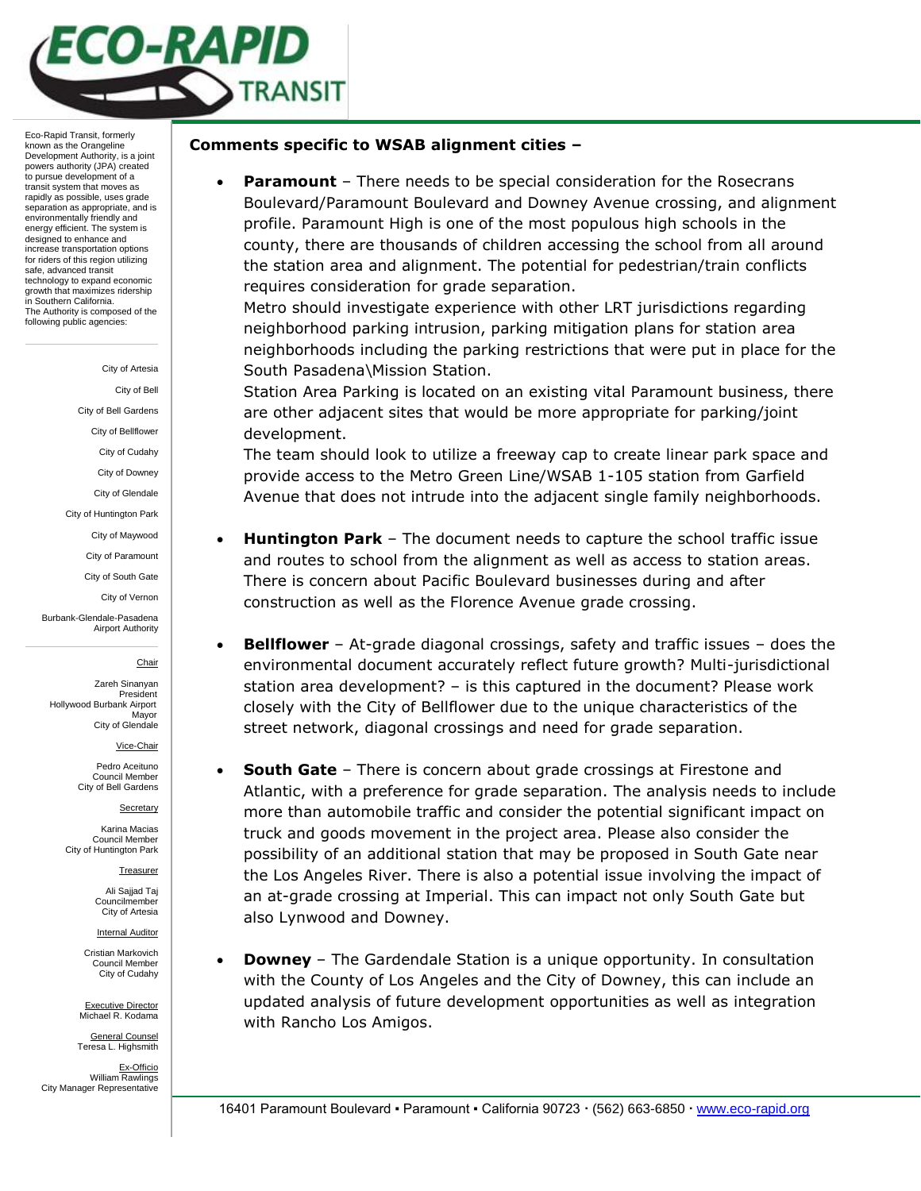

#### City of Artesia

City of Bell

City of Bell Gardens

City of Bellflower City of Cudahy

City of Downey

City of Glendale

City of Huntington Park

City of Maywood

City of Paramount

City of South Gate

City of Vernon

Burbank-Glendale-Pasadena Airport Authority

#### Chair

Zareh Sinanyan President Hollywood Burbank Airport Mayor City of Glendale

Vice-Chair

Pedro Aceituno Council Membe City of Bell Gardens

**Secretary** 

Karina Macias Council Member City of Huntington Park

Treasurer

Ali Sajjad Taj Councilmember City of Artesia

Internal Auditor

Cristian Markovich Council Member City of Cudahy

Executive Director Michael R. Kodama

General Counsel Teresa L. Highsmith

Ex-Officio William Rawlings City Manager Representative

## **Comments specific to WSAB alignment cities –**

 **Paramount** – There needs to be special consideration for the Rosecrans Boulevard/Paramount Boulevard and Downey Avenue crossing, and alignment profile. Paramount High is one of the most populous high schools in the county, there are thousands of children accessing the school from all around the station area and alignment. The potential for pedestrian/train conflicts requires consideration for grade separation.

Metro should investigate experience with other LRT jurisdictions regarding neighborhood parking intrusion, parking mitigation plans for station area neighborhoods including the parking restrictions that were put in place for the South Pasadena\Mission Station.

Station Area Parking is located on an existing vital Paramount business, there are other adjacent sites that would be more appropriate for parking/joint development.

The team should look to utilize a freeway cap to create linear park space and provide access to the Metro Green Line/WSAB 1-105 station from Garfield Avenue that does not intrude into the adjacent single family neighborhoods.

- **Huntington Park**  The document needs to capture the school traffic issue and routes to school from the alignment as well as access to station areas. There is concern about Pacific Boulevard businesses during and after construction as well as the Florence Avenue grade crossing.
- **Bellflower**  At-grade diagonal crossings, safety and traffic issues does the environmental document accurately reflect future growth? Multi-jurisdictional station area development? – is this captured in the document? Please work closely with the City of Bellflower due to the unique characteristics of the street network, diagonal crossings and need for grade separation.
- **South Gate**  There is concern about grade crossings at Firestone and Atlantic, with a preference for grade separation. The analysis needs to include more than automobile traffic and consider the potential significant impact on truck and goods movement in the project area. Please also consider the possibility of an additional station that may be proposed in South Gate near the Los Angeles River. There is also a potential issue involving the impact of an at-grade crossing at Imperial. This can impact not only South Gate but also Lynwood and Downey.
- **Downey**  The Gardendale Station is a unique opportunity. In consultation with the County of Los Angeles and the City of Downey, this can include an updated analysis of future development opportunities as well as integration with Rancho Los Amigos.